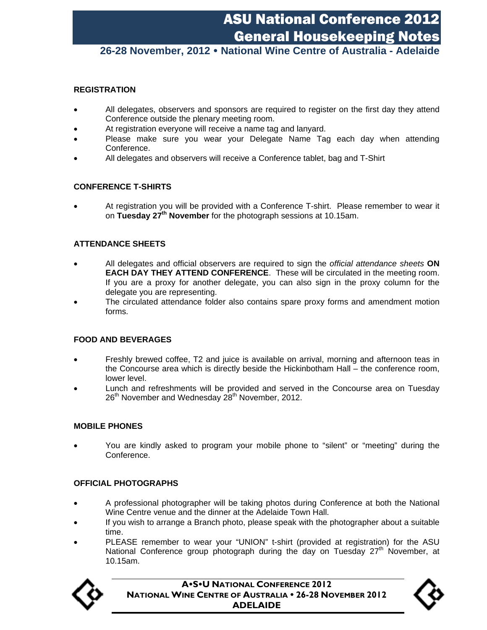## ASU National Conference 2012 General Housekeeping Notes

## **26-28 November, 2012 National Wine Centre of Australia - Adelaide**

#### **REGISTRATION**

- All delegates, observers and sponsors are required to register on the first day they attend Conference outside the plenary meeting room.
- At registration everyone will receive a name tag and lanyard.
- Please make sure you wear your Delegate Name Tag each day when attending Conference.
- All delegates and observers will receive a Conference tablet, bag and T-Shirt

#### **CONFERENCE T-SHIRTS**

 At registration you will be provided with a Conference T-shirt. Please remember to wear it on **Tuesday 27th November** for the photograph sessions at 10.15am.

#### **ATTENDANCE SHEETS**

- All delegates and official observers are required to sign the *official attendance sheets* **ON EACH DAY THEY ATTEND CONFERENCE**. These will be circulated in the meeting room. If you are a proxy for another delegate, you can also sign in the proxy column for the delegate you are representing.
- The circulated attendance folder also contains spare proxy forms and amendment motion forms.

#### **FOOD AND BEVERAGES**

- Freshly brewed coffee, T2 and juice is available on arrival, morning and afternoon teas in the Concourse area which is directly beside the Hickinbotham Hall – the conference room, lower level.
- Lunch and refreshments will be provided and served in the Concourse area on Tuesday  $26<sup>th</sup>$  November and Wednesday  $28<sup>th</sup>$  November, 2012.

#### **MOBILE PHONES**

 You are kindly asked to program your mobile phone to "silent" or "meeting" during the Conference.

#### **OFFICIAL PHOTOGRAPHS**

- A professional photographer will be taking photos during Conference at both the National Wine Centre venue and the dinner at the Adelaide Town Hall.
- If you wish to arrange a Branch photo, please speak with the photographer about a suitable time.
- PLEASE remember to wear your "UNION" t-shirt (provided at registration) for the ASU National Conference group photograph during the day on Tuesday 27<sup>th</sup> November, at 10.15am.



**ASU NATIONAL CONFERENCE 2012 NATIONAL WINE CENTRE OF AUSTRALIA • 26-28 NOVEMBER 2012 ADELAIDE**